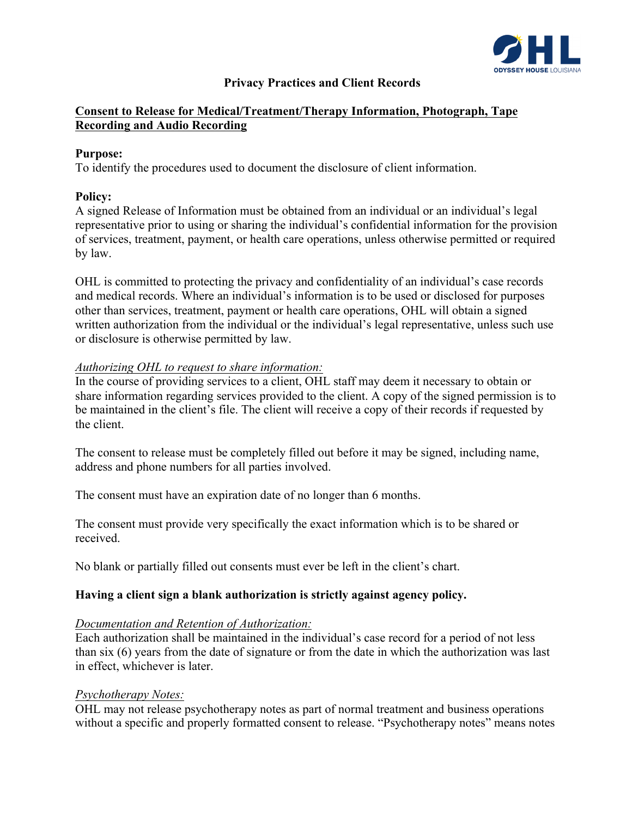

### **Privacy Practices and Client Records**

### **Consent to Release for Medical/Treatment/Therapy Information, Photograph, Tape Recording and Audio Recording**

#### **Purpose:**

To identify the procedures used to document the disclosure of client information.

#### **Policy:**

A signed Release of Information must be obtained from an individual or an individual's legal representative prior to using or sharing the individual's confidential information for the provision of services, treatment, payment, or health care operations, unless otherwise permitted or required by law.

OHL is committed to protecting the privacy and confidentiality of an individual's case records and medical records. Where an individual's information is to be used or disclosed for purposes other than services, treatment, payment or health care operations, OHL will obtain a signed written authorization from the individual or the individual's legal representative, unless such use or disclosure is otherwise permitted by law.

#### *Authorizing OHL to request to share information:*

In the course of providing services to a client, OHL staff may deem it necessary to obtain or share information regarding services provided to the client. A copy of the signed permission is to be maintained in the client's file. The client will receive a copy of their records if requested by the client.

The consent to release must be completely filled out before it may be signed, including name, address and phone numbers for all parties involved.

The consent must have an expiration date of no longer than 6 months.

The consent must provide very specifically the exact information which is to be shared or received.

No blank or partially filled out consents must ever be left in the client's chart.

### **Having a client sign a blank authorization is strictly against agency policy.**

#### *Documentation and Retention of Authorization:*

Each authorization shall be maintained in the individual's case record for a period of not less than six (6) years from the date of signature or from the date in which the authorization was last in effect, whichever is later.

#### *Psychotherapy Notes:*

OHL may not release psychotherapy notes as part of normal treatment and business operations without a specific and properly formatted consent to release. "Psychotherapy notes" means notes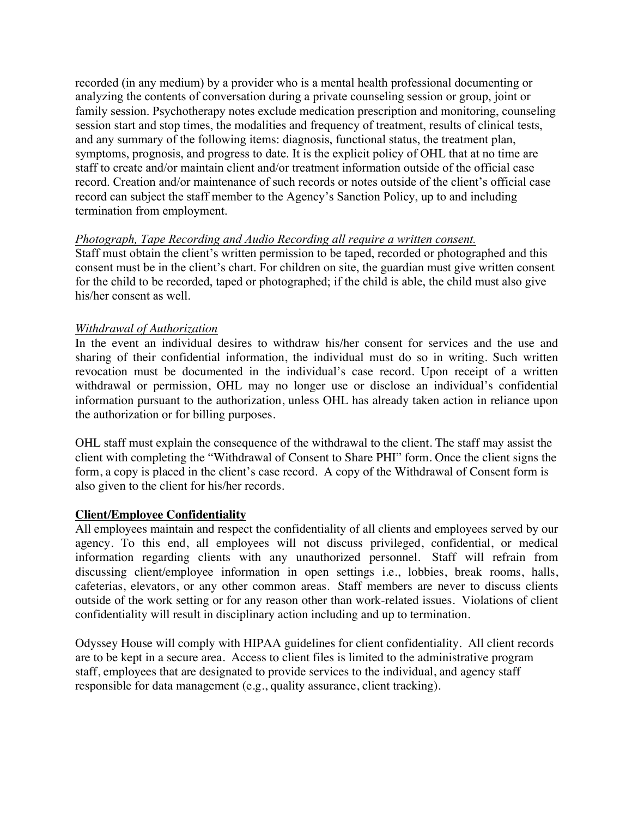recorded (in any medium) by a provider who is a mental health professional documenting or analyzing the contents of conversation during a private counseling session or group, joint or family session. Psychotherapy notes exclude medication prescription and monitoring, counseling session start and stop times, the modalities and frequency of treatment, results of clinical tests, and any summary of the following items: diagnosis, functional status, the treatment plan, symptoms, prognosis, and progress to date. It is the explicit policy of OHL that at no time are staff to create and/or maintain client and/or treatment information outside of the official case record. Creation and/or maintenance of such records or notes outside of the client's official case record can subject the staff member to the Agency's Sanction Policy, up to and including termination from employment.

#### *Photograph, Tape Recording and Audio Recording all require a written consent.*

Staff must obtain the client's written permission to be taped, recorded or photographed and this consent must be in the client's chart. For children on site, the guardian must give written consent for the child to be recorded, taped or photographed; if the child is able, the child must also give his/her consent as well.

#### *Withdrawal of Authorization*

In the event an individual desires to withdraw his/her consent for services and the use and sharing of their confidential information, the individual must do so in writing. Such written revocation must be documented in the individual's case record. Upon receipt of a written withdrawal or permission, OHL may no longer use or disclose an individual's confidential information pursuant to the authorization, unless OHL has already taken action in reliance upon the authorization or for billing purposes.

OHL staff must explain the consequence of the withdrawal to the client. The staff may assist the client with completing the "Withdrawal of Consent to Share PHI" form. Once the client signs the form, a copy is placed in the client's case record. A copy of the Withdrawal of Consent form is also given to the client for his/her records.

#### **Client/Employee Confidentiality**

All employees maintain and respect the confidentiality of all clients and employees served by our agency. To this end, all employees will not discuss privileged, confidential, or medical information regarding clients with any unauthorized personnel. Staff will refrain from discussing client/employee information in open settings i.e., lobbies, break rooms, halls, cafeterias, elevators, or any other common areas. Staff members are never to discuss clients outside of the work setting or for any reason other than work-related issues. Violations of client confidentiality will result in disciplinary action including and up to termination.

Odyssey House will comply with HIPAA guidelines for client confidentiality. All client records are to be kept in a secure area. Access to client files is limited to the administrative program staff, employees that are designated to provide services to the individual, and agency staff responsible for data management (e.g., quality assurance, client tracking).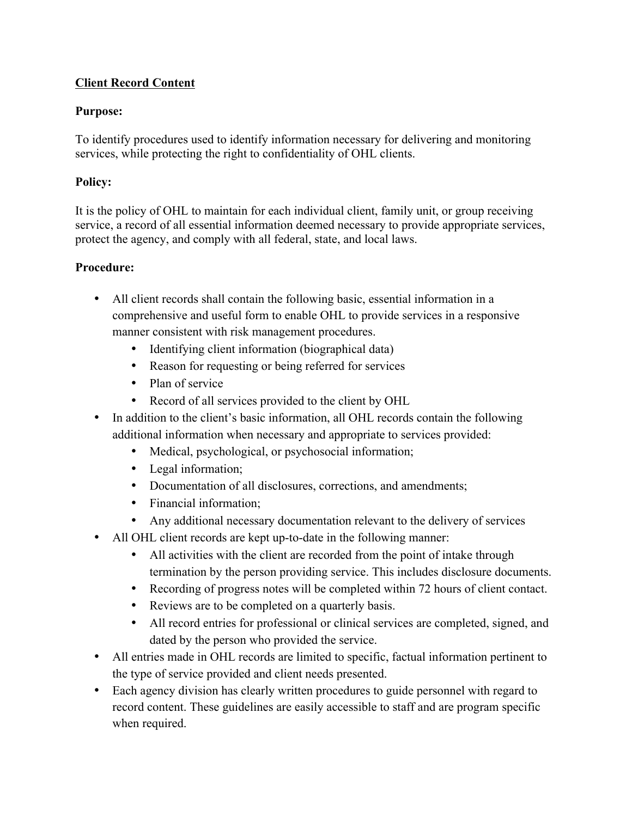# **Client Record Content**

## **Purpose:**

To identify procedures used to identify information necessary for delivering and monitoring services, while protecting the right to confidentiality of OHL clients.

## **Policy:**

It is the policy of OHL to maintain for each individual client, family unit, or group receiving service, a record of all essential information deemed necessary to provide appropriate services, protect the agency, and comply with all federal, state, and local laws.

### **Procedure:**

- All client records shall contain the following basic, essential information in a comprehensive and useful form to enable OHL to provide services in a responsive manner consistent with risk management procedures.
	- Identifying client information (biographical data)
	- Reason for requesting or being referred for services
	- Plan of service
	- Record of all services provided to the client by OHL
- In addition to the client's basic information, all OHL records contain the following additional information when necessary and appropriate to services provided:
	- Medical, psychological, or psychosocial information;
	- Legal information;
	- Documentation of all disclosures, corrections, and amendments;
	- Financial information:
	- Any additional necessary documentation relevant to the delivery of services
- All OHL client records are kept up-to-date in the following manner:
	- All activities with the client are recorded from the point of intake through termination by the person providing service. This includes disclosure documents.
	- Recording of progress notes will be completed within 72 hours of client contact.
	- Reviews are to be completed on a quarterly basis.
	- All record entries for professional or clinical services are completed, signed, and dated by the person who provided the service.
- All entries made in OHL records are limited to specific, factual information pertinent to the type of service provided and client needs presented.
- Each agency division has clearly written procedures to guide personnel with regard to record content. These guidelines are easily accessible to staff and are program specific when required.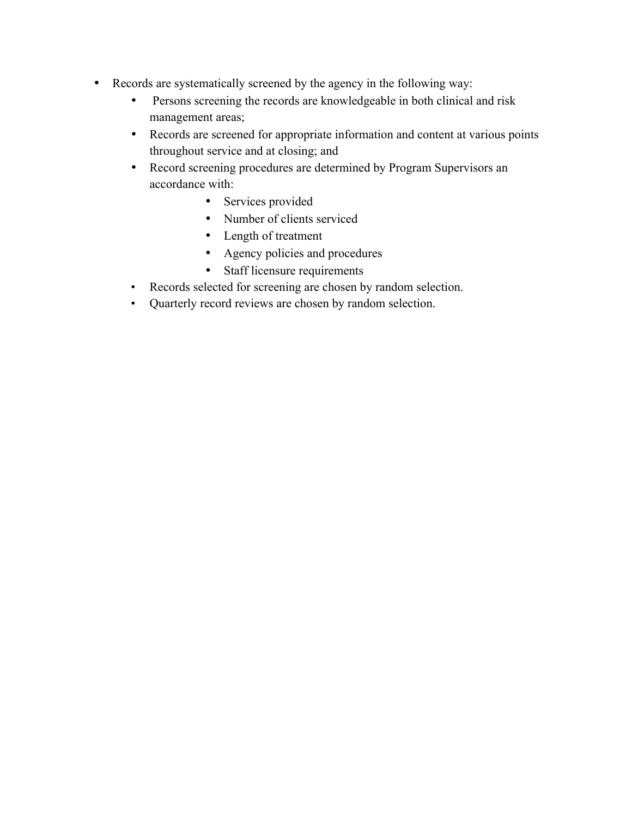- Records are systematically screened by the agency in the following way:
	- Persons screening the records are knowledgeable in both clinical and risk management areas;
	- Records are screened for appropriate information and content at various points throughout service and at closing; and
	- Record screening procedures are determined by Program Supervisors an accordance with:
		- Services provided
		- Number of clients serviced
		- Length of treatment
		- Agency policies and procedures
		- Staff licensure requirements
	- Records selected for screening are chosen by random selection.
	- Quarterly record reviews are chosen by random selection.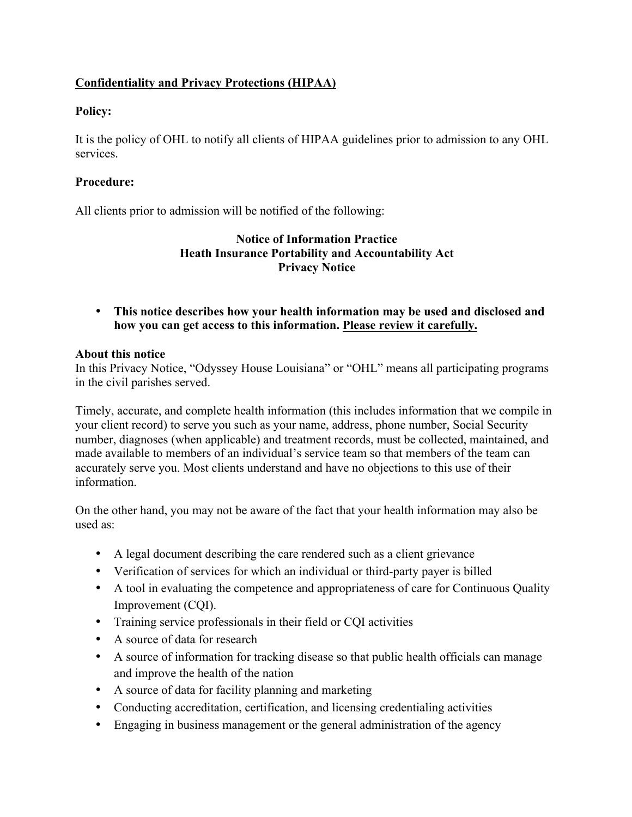# **Confidentiality and Privacy Protections (HIPAA)**

### **Policy:**

It is the policy of OHL to notify all clients of HIPAA guidelines prior to admission to any OHL services.

### **Procedure:**

All clients prior to admission will be notified of the following:

### **Notice of Information Practice Heath Insurance Portability and Accountability Act Privacy Notice**

• **This notice describes how your health information may be used and disclosed and how you can get access to this information. Please review it carefully.**

### **About this notice**

In this Privacy Notice, "Odyssey House Louisiana" or "OHL" means all participating programs in the civil parishes served.

Timely, accurate, and complete health information (this includes information that we compile in your client record) to serve you such as your name, address, phone number, Social Security number, diagnoses (when applicable) and treatment records, must be collected, maintained, and made available to members of an individual's service team so that members of the team can accurately serve you. Most clients understand and have no objections to this use of their information.

On the other hand, you may not be aware of the fact that your health information may also be used as:

- A legal document describing the care rendered such as a client grievance
- Verification of services for which an individual or third-party payer is billed
- A tool in evaluating the competence and appropriateness of care for Continuous Quality Improvement (CQI).
- Training service professionals in their field or CQI activities
- A source of data for research
- A source of information for tracking disease so that public health officials can manage and improve the health of the nation
- A source of data for facility planning and marketing
- Conducting accreditation, certification, and licensing credentialing activities
- Engaging in business management or the general administration of the agency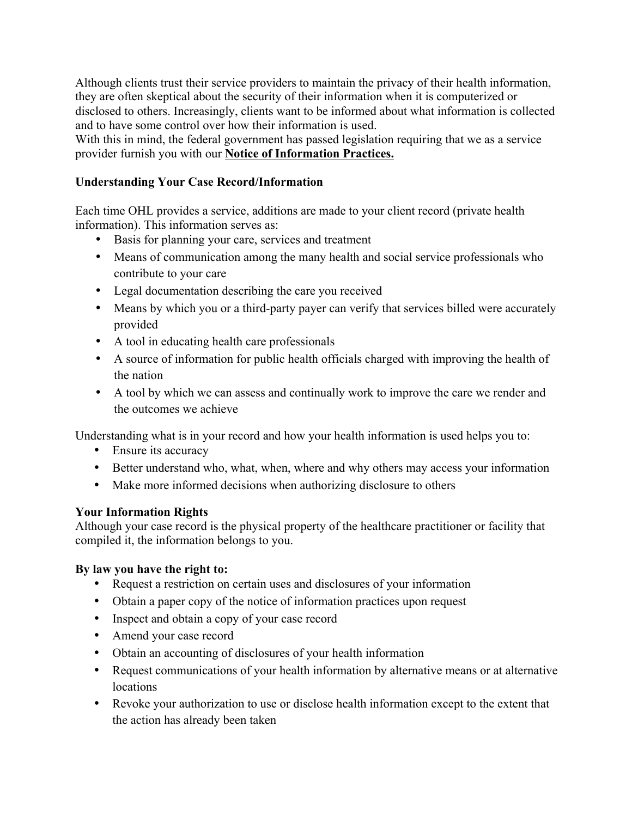Although clients trust their service providers to maintain the privacy of their health information, they are often skeptical about the security of their information when it is computerized or disclosed to others. Increasingly, clients want to be informed about what information is collected and to have some control over how their information is used.

With this in mind, the federal government has passed legislation requiring that we as a service provider furnish you with our **Notice of Information Practices.**

### **Understanding Your Case Record/Information**

Each time OHL provides a service, additions are made to your client record (private health information). This information serves as:

- Basis for planning your care, services and treatment
- Means of communication among the many health and social service professionals who contribute to your care
- Legal documentation describing the care you received
- Means by which you or a third-party payer can verify that services billed were accurately provided
- A tool in educating health care professionals
- A source of information for public health officials charged with improving the health of the nation
- A tool by which we can assess and continually work to improve the care we render and the outcomes we achieve

Understanding what is in your record and how your health information is used helps you to:

- Ensure its accuracy
- Better understand who, what, when, where and why others may access your information
- Make more informed decisions when authorizing disclosure to others

### **Your Information Rights**

Although your case record is the physical property of the healthcare practitioner or facility that compiled it, the information belongs to you.

### **By law you have the right to:**

- Request a restriction on certain uses and disclosures of your information
- Obtain a paper copy of the notice of information practices upon request
- Inspect and obtain a copy of your case record
- Amend your case record
- Obtain an accounting of disclosures of your health information
- Request communications of your health information by alternative means or at alternative locations
- Revoke your authorization to use or disclose health information except to the extent that the action has already been taken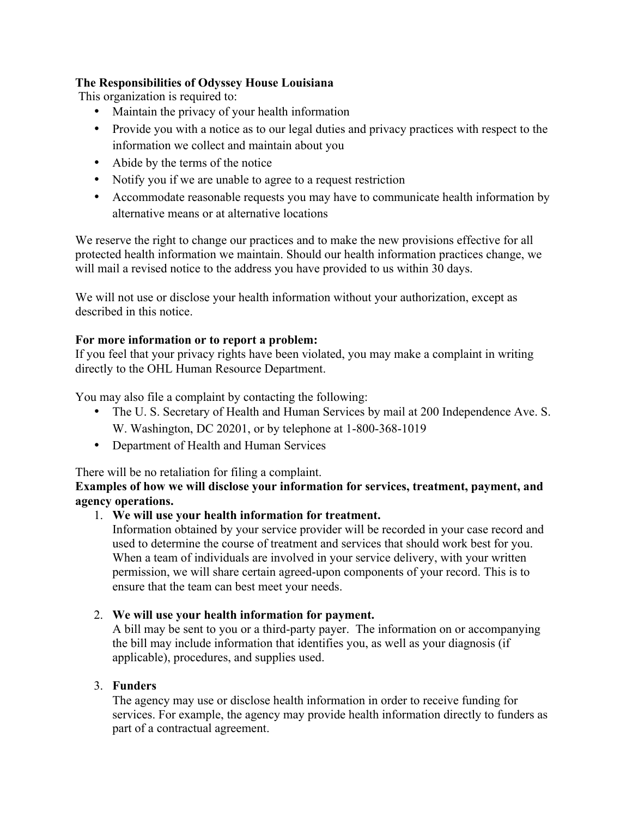## **The Responsibilities of Odyssey House Louisiana**

This organization is required to:

- Maintain the privacy of your health information
- Provide you with a notice as to our legal duties and privacy practices with respect to the information we collect and maintain about you
- Abide by the terms of the notice
- Notify you if we are unable to agree to a request restriction
- Accommodate reasonable requests you may have to communicate health information by alternative means or at alternative locations

We reserve the right to change our practices and to make the new provisions effective for all protected health information we maintain. Should our health information practices change, we will mail a revised notice to the address you have provided to us within 30 days.

We will not use or disclose your health information without your authorization, except as described in this notice.

### **For more information or to report a problem:**

If you feel that your privacy rights have been violated, you may make a complaint in writing directly to the OHL Human Resource Department.

You may also file a complaint by contacting the following:

- The U. S. Secretary of Health and Human Services by mail at 200 Independence Ave. S. W. Washington, DC 20201, or by telephone at 1-800-368-1019
- Department of Health and Human Services

There will be no retaliation for filing a complaint.

### **Examples of how we will disclose your information for services, treatment, payment, and agency operations.**

## 1. **We will use your health information for treatment.**

Information obtained by your service provider will be recorded in your case record and used to determine the course of treatment and services that should work best for you. When a team of individuals are involved in your service delivery, with your written permission, we will share certain agreed-upon components of your record. This is to ensure that the team can best meet your needs.

### 2. **We will use your health information for payment.**

A bill may be sent to you or a third-party payer. The information on or accompanying the bill may include information that identifies you, as well as your diagnosis (if applicable), procedures, and supplies used.

### 3. **Funders**

The agency may use or disclose health information in order to receive funding for services. For example, the agency may provide health information directly to funders as part of a contractual agreement.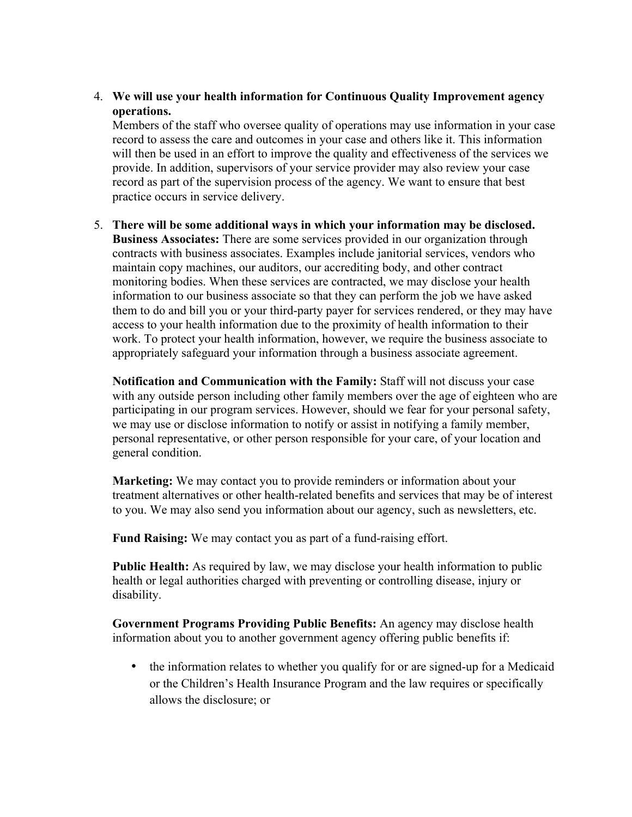4. **We will use your health information for Continuous Quality Improvement agency operations.**

Members of the staff who oversee quality of operations may use information in your case record to assess the care and outcomes in your case and others like it. This information will then be used in an effort to improve the quality and effectiveness of the services we provide. In addition, supervisors of your service provider may also review your case record as part of the supervision process of the agency. We want to ensure that best practice occurs in service delivery.

5. **There will be some additional ways in which your information may be disclosed. Business Associates:** There are some services provided in our organization through contracts with business associates. Examples include janitorial services, vendors who maintain copy machines, our auditors, our accrediting body, and other contract monitoring bodies. When these services are contracted, we may disclose your health information to our business associate so that they can perform the job we have asked them to do and bill you or your third-party payer for services rendered, or they may have access to your health information due to the proximity of health information to their work. To protect your health information, however, we require the business associate to appropriately safeguard your information through a business associate agreement.

**Notification and Communication with the Family:** Staff will not discuss your case with any outside person including other family members over the age of eighteen who are participating in our program services. However, should we fear for your personal safety, we may use or disclose information to notify or assist in notifying a family member, personal representative, or other person responsible for your care, of your location and general condition.

**Marketing:** We may contact you to provide reminders or information about your treatment alternatives or other health-related benefits and services that may be of interest to you. We may also send you information about our agency, such as newsletters, etc.

**Fund Raising:** We may contact you as part of a fund-raising effort.

Public Health: As required by law, we may disclose your health information to public health or legal authorities charged with preventing or controlling disease, injury or disability.

**Government Programs Providing Public Benefits:** An agency may disclose health information about you to another government agency offering public benefits if:

• the information relates to whether you qualify for or are signed-up for a Medicaid or the Children's Health Insurance Program and the law requires or specifically allows the disclosure; or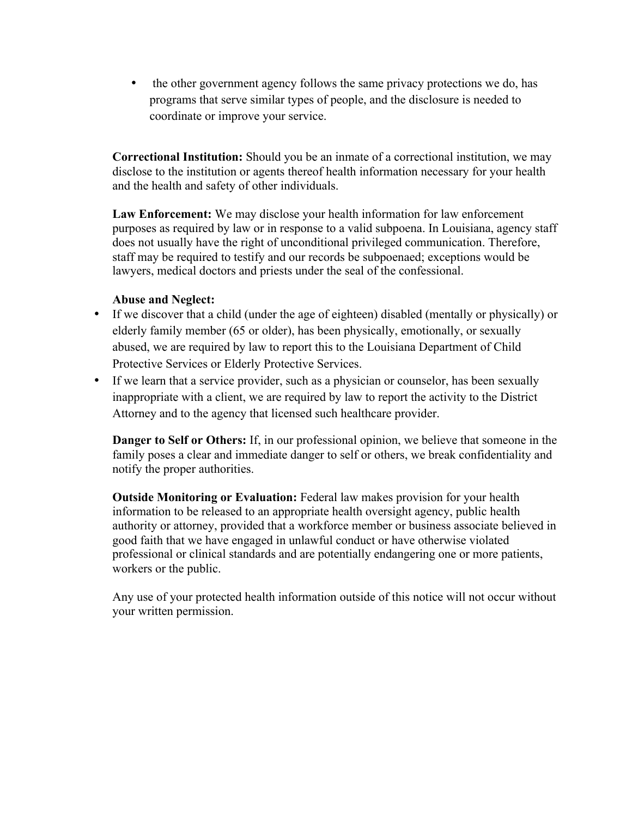• the other government agency follows the same privacy protections we do, has programs that serve similar types of people, and the disclosure is needed to coordinate or improve your service.

**Correctional Institution:** Should you be an inmate of a correctional institution, we may disclose to the institution or agents thereof health information necessary for your health and the health and safety of other individuals.

**Law Enforcement:** We may disclose your health information for law enforcement purposes as required by law or in response to a valid subpoena. In Louisiana, agency staff does not usually have the right of unconditional privileged communication. Therefore, staff may be required to testify and our records be subpoenaed; exceptions would be lawyers, medical doctors and priests under the seal of the confessional.

#### **Abuse and Neglect:**

- If we discover that a child (under the age of eighteen) disabled (mentally or physically) or elderly family member (65 or older), has been physically, emotionally, or sexually abused, we are required by law to report this to the Louisiana Department of Child Protective Services or Elderly Protective Services.
- If we learn that a service provider, such as a physician or counselor, has been sexually inappropriate with a client, we are required by law to report the activity to the District Attorney and to the agency that licensed such healthcare provider.

**Danger to Self or Others:** If, in our professional opinion, we believe that someone in the family poses a clear and immediate danger to self or others, we break confidentiality and notify the proper authorities.

**Outside Monitoring or Evaluation:** Federal law makes provision for your health information to be released to an appropriate health oversight agency, public health authority or attorney, provided that a workforce member or business associate believed in good faith that we have engaged in unlawful conduct or have otherwise violated professional or clinical standards and are potentially endangering one or more patients, workers or the public.

Any use of your protected health information outside of this notice will not occur without your written permission.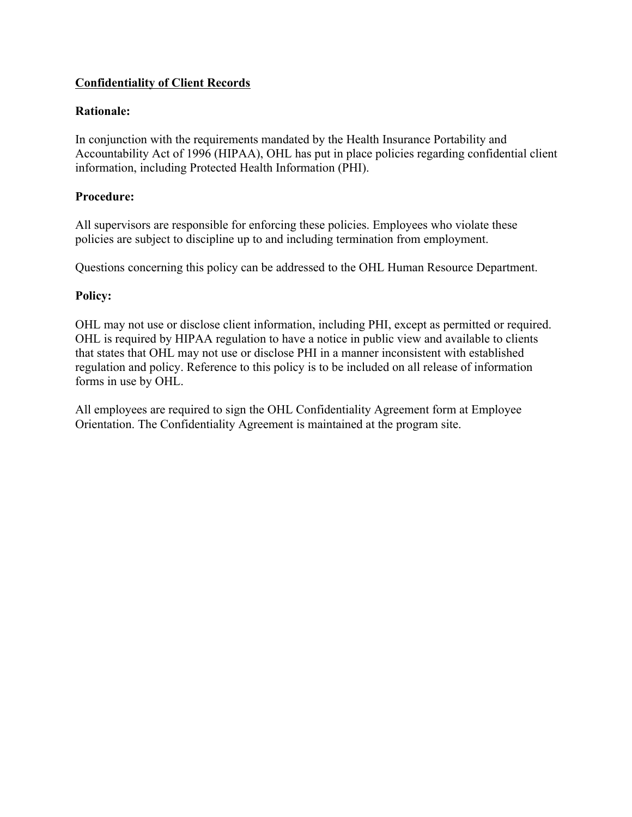## **Confidentiality of Client Records**

#### **Rationale:**

In conjunction with the requirements mandated by the Health Insurance Portability and Accountability Act of 1996 (HIPAA), OHL has put in place policies regarding confidential client information, including Protected Health Information (PHI).

#### **Procedure:**

All supervisors are responsible for enforcing these policies. Employees who violate these policies are subject to discipline up to and including termination from employment.

Questions concerning this policy can be addressed to the OHL Human Resource Department.

#### **Policy:**

OHL may not use or disclose client information, including PHI, except as permitted or required. OHL is required by HIPAA regulation to have a notice in public view and available to clients that states that OHL may not use or disclose PHI in a manner inconsistent with established regulation and policy. Reference to this policy is to be included on all release of information forms in use by OHL.

All employees are required to sign the OHL Confidentiality Agreement form at Employee Orientation. The Confidentiality Agreement is maintained at the program site.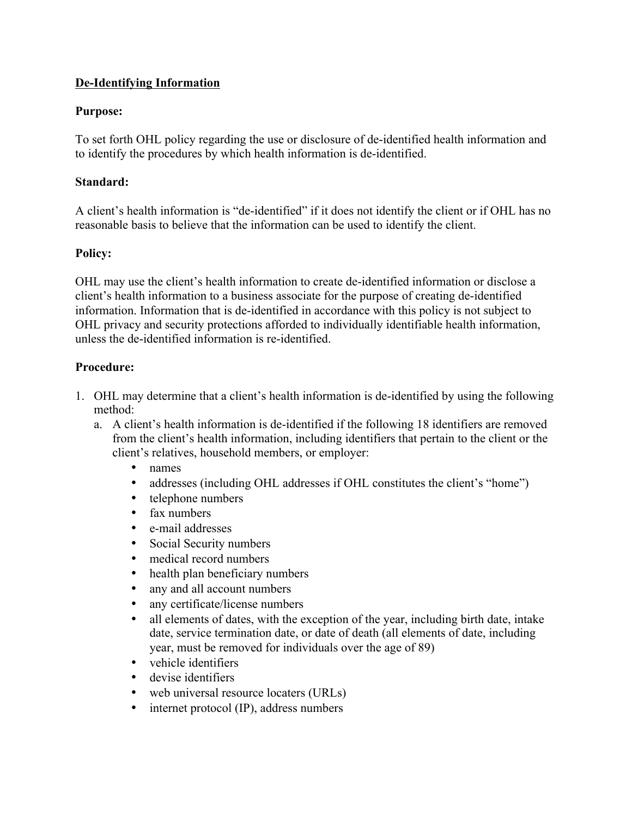### **De-Identifying Information**

### **Purpose:**

To set forth OHL policy regarding the use or disclosure of de-identified health information and to identify the procedures by which health information is de-identified.

### **Standard:**

A client's health information is "de-identified" if it does not identify the client or if OHL has no reasonable basis to believe that the information can be used to identify the client.

### **Policy:**

OHL may use the client's health information to create de-identified information or disclose a client's health information to a business associate for the purpose of creating de-identified information. Information that is de-identified in accordance with this policy is not subject to OHL privacy and security protections afforded to individually identifiable health information, unless the de-identified information is re-identified.

### **Procedure:**

- 1. OHL may determine that a client's health information is de-identified by using the following method:
	- a. A client's health information is de-identified if the following 18 identifiers are removed from the client's health information, including identifiers that pertain to the client or the client's relatives, household members, or employer:
		- names
		- addresses (including OHL addresses if OHL constitutes the client's "home")
		- telephone numbers
		- fax numbers
		- e-mail addresses
		- Social Security numbers
		- medical record numbers
		- health plan beneficiary numbers
		- any and all account numbers
		- any certificate/license numbers
		- all elements of dates, with the exception of the year, including birth date, intake date, service termination date, or date of death (all elements of date, including year, must be removed for individuals over the age of 89)
		- vehicle identifiers
		- devise identifiers
		- web universal resource locaters (URLs)
		- internet protocol (IP), address numbers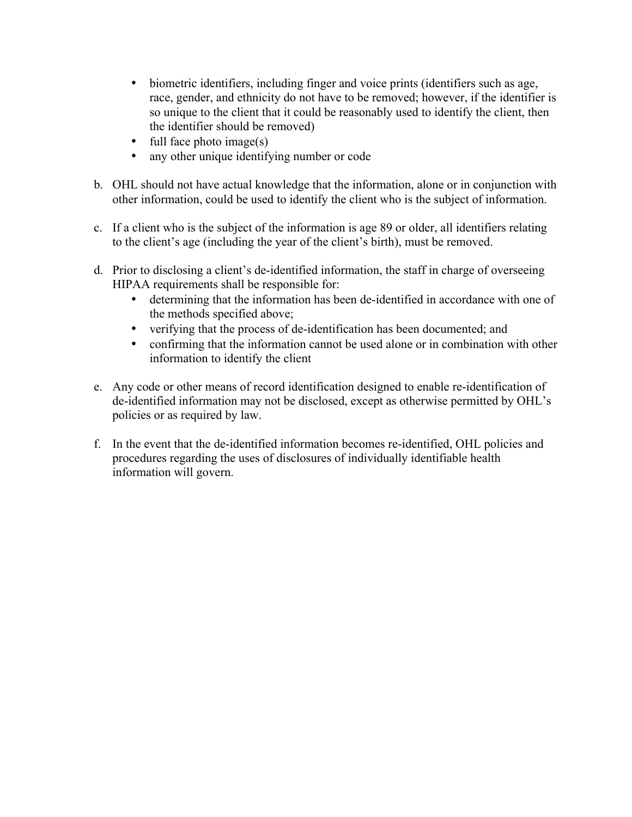- biometric identifiers, including finger and voice prints (identifiers such as age, race, gender, and ethnicity do not have to be removed; however, if the identifier is so unique to the client that it could be reasonably used to identify the client, then the identifier should be removed)
- full face photo image(s)
- any other unique identifying number or code
- b. OHL should not have actual knowledge that the information, alone or in conjunction with other information, could be used to identify the client who is the subject of information.
- c. If a client who is the subject of the information is age 89 or older, all identifiers relating to the client's age (including the year of the client's birth), must be removed.
- d. Prior to disclosing a client's de-identified information, the staff in charge of overseeing HIPAA requirements shall be responsible for:
	- determining that the information has been de-identified in accordance with one of the methods specified above;
	- verifying that the process of de-identification has been documented; and
	- confirming that the information cannot be used alone or in combination with other information to identify the client
- e. Any code or other means of record identification designed to enable re-identification of de-identified information may not be disclosed, except as otherwise permitted by OHL's policies or as required by law.
- f. In the event that the de-identified information becomes re-identified, OHL policies and procedures regarding the uses of disclosures of individually identifiable health information will govern.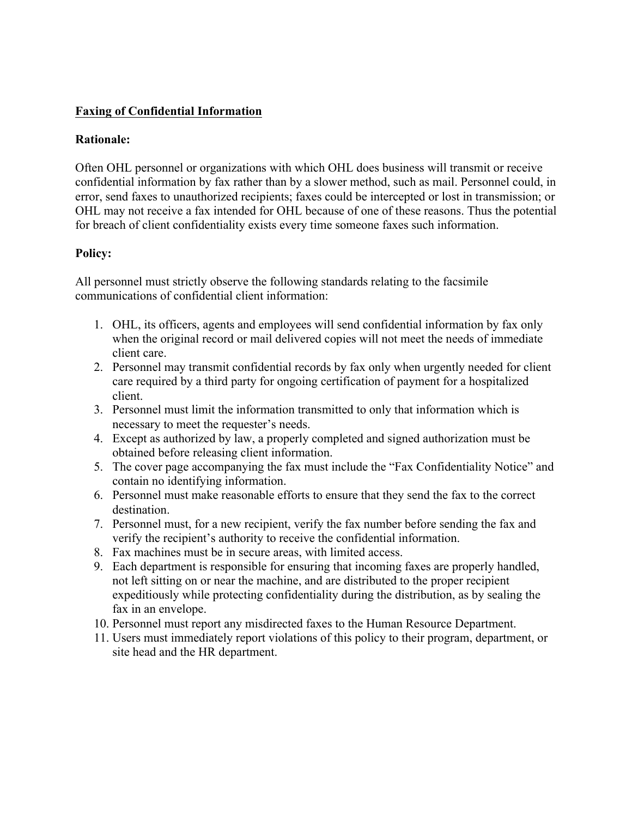### **Faxing of Confidential Information**

#### **Rationale:**

Often OHL personnel or organizations with which OHL does business will transmit or receive confidential information by fax rather than by a slower method, such as mail. Personnel could, in error, send faxes to unauthorized recipients; faxes could be intercepted or lost in transmission; or OHL may not receive a fax intended for OHL because of one of these reasons. Thus the potential for breach of client confidentiality exists every time someone faxes such information.

### **Policy:**

All personnel must strictly observe the following standards relating to the facsimile communications of confidential client information:

- 1. OHL, its officers, agents and employees will send confidential information by fax only when the original record or mail delivered copies will not meet the needs of immediate client care.
- 2. Personnel may transmit confidential records by fax only when urgently needed for client care required by a third party for ongoing certification of payment for a hospitalized client.
- 3. Personnel must limit the information transmitted to only that information which is necessary to meet the requester's needs.
- 4. Except as authorized by law, a properly completed and signed authorization must be obtained before releasing client information.
- 5. The cover page accompanying the fax must include the "Fax Confidentiality Notice" and contain no identifying information.
- 6. Personnel must make reasonable efforts to ensure that they send the fax to the correct destination.
- 7. Personnel must, for a new recipient, verify the fax number before sending the fax and verify the recipient's authority to receive the confidential information.
- 8. Fax machines must be in secure areas, with limited access.
- 9. Each department is responsible for ensuring that incoming faxes are properly handled, not left sitting on or near the machine, and are distributed to the proper recipient expeditiously while protecting confidentiality during the distribution, as by sealing the fax in an envelope.
- 10. Personnel must report any misdirected faxes to the Human Resource Department.
- 11. Users must immediately report violations of this policy to their program, department, or site head and the HR department.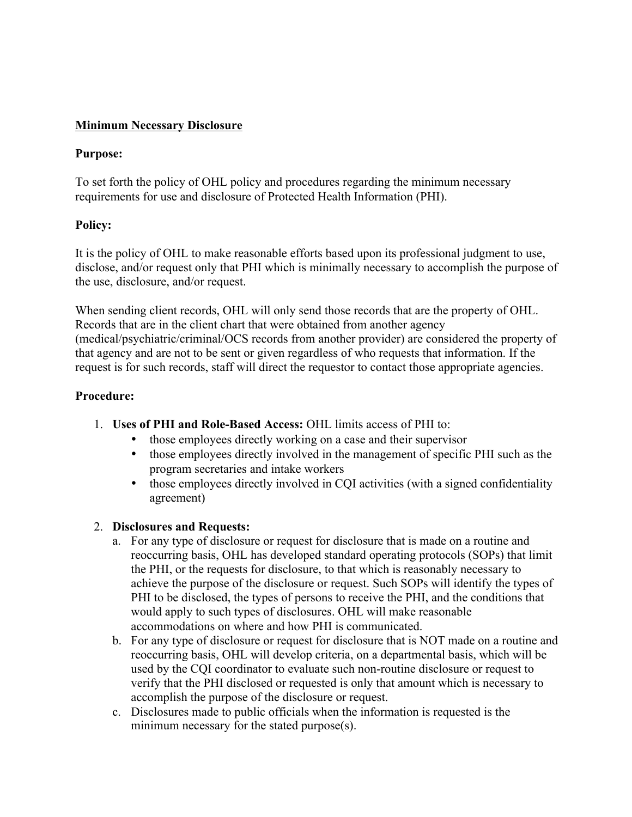### **Minimum Necessary Disclosure**

### **Purpose:**

To set forth the policy of OHL policy and procedures regarding the minimum necessary requirements for use and disclosure of Protected Health Information (PHI).

### **Policy:**

It is the policy of OHL to make reasonable efforts based upon its professional judgment to use, disclose, and/or request only that PHI which is minimally necessary to accomplish the purpose of the use, disclosure, and/or request.

When sending client records, OHL will only send those records that are the property of OHL. Records that are in the client chart that were obtained from another agency (medical/psychiatric/criminal/OCS records from another provider) are considered the property of that agency and are not to be sent or given regardless of who requests that information. If the request is for such records, staff will direct the requestor to contact those appropriate agencies.

#### **Procedure:**

- 1. **Uses of PHI and Role-Based Access:** OHL limits access of PHI to:
	- those employees directly working on a case and their supervisor
	- those employees directly involved in the management of specific PHI such as the program secretaries and intake workers
	- those employees directly involved in CQI activities (with a signed confidentiality agreement)

### 2. **Disclosures and Requests:**

- a. For any type of disclosure or request for disclosure that is made on a routine and reoccurring basis, OHL has developed standard operating protocols (SOPs) that limit the PHI, or the requests for disclosure, to that which is reasonably necessary to achieve the purpose of the disclosure or request. Such SOPs will identify the types of PHI to be disclosed, the types of persons to receive the PHI, and the conditions that would apply to such types of disclosures. OHL will make reasonable accommodations on where and how PHI is communicated.
- b. For any type of disclosure or request for disclosure that is NOT made on a routine and reoccurring basis, OHL will develop criteria, on a departmental basis, which will be used by the CQI coordinator to evaluate such non-routine disclosure or request to verify that the PHI disclosed or requested is only that amount which is necessary to accomplish the purpose of the disclosure or request.
- c. Disclosures made to public officials when the information is requested is the minimum necessary for the stated purpose(s).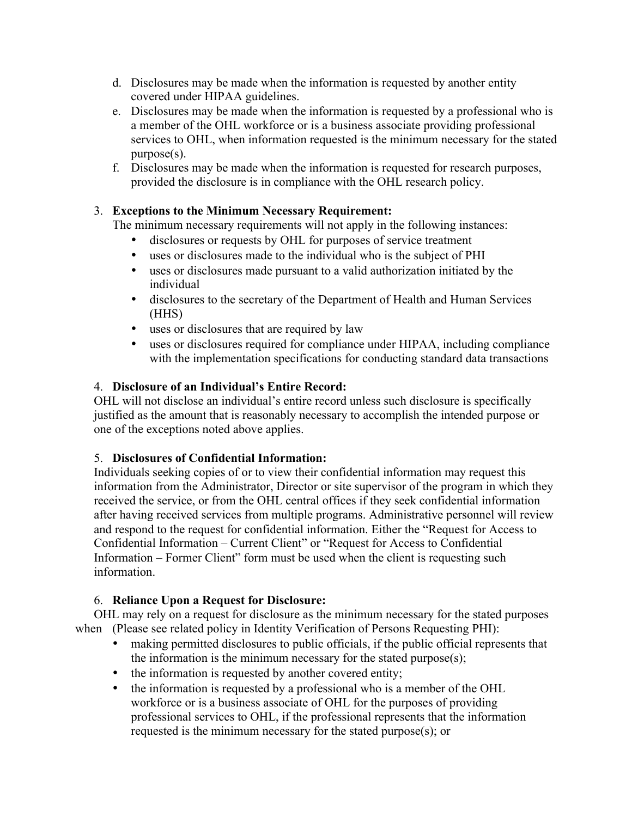- d. Disclosures may be made when the information is requested by another entity covered under HIPAA guidelines.
- e. Disclosures may be made when the information is requested by a professional who is a member of the OHL workforce or is a business associate providing professional services to OHL, when information requested is the minimum necessary for the stated purpose(s).
- f. Disclosures may be made when the information is requested for research purposes, provided the disclosure is in compliance with the OHL research policy.

# 3. **Exceptions to the Minimum Necessary Requirement:**

The minimum necessary requirements will not apply in the following instances:

- disclosures or requests by OHL for purposes of service treatment
- uses or disclosures made to the individual who is the subject of PHI
- uses or disclosures made pursuant to a valid authorization initiated by the individual
- disclosures to the secretary of the Department of Health and Human Services (HHS)
- uses or disclosures that are required by law
- uses or disclosures required for compliance under HIPAA, including compliance with the implementation specifications for conducting standard data transactions

## 4. **Disclosure of an Individual's Entire Record:**

OHL will not disclose an individual's entire record unless such disclosure is specifically justified as the amount that is reasonably necessary to accomplish the intended purpose or one of the exceptions noted above applies.

### 5. **Disclosures of Confidential Information:**

Individuals seeking copies of or to view their confidential information may request this information from the Administrator, Director or site supervisor of the program in which they received the service, or from the OHL central offices if they seek confidential information after having received services from multiple programs. Administrative personnel will review and respond to the request for confidential information. Either the "Request for Access to Confidential Information – Current Client" or "Request for Access to Confidential Information – Former Client" form must be used when the client is requesting such information.

## 6. **Reliance Upon a Request for Disclosure:**

OHL may rely on a request for disclosure as the minimum necessary for the stated purposes when (Please see related policy in Identity Verification of Persons Requesting PHI):

- making permitted disclosures to public officials, if the public official represents that the information is the minimum necessary for the stated purpose(s);
- the information is requested by another covered entity;
- the information is requested by a professional who is a member of the OHL workforce or is a business associate of OHL for the purposes of providing professional services to OHL, if the professional represents that the information requested is the minimum necessary for the stated purpose(s); or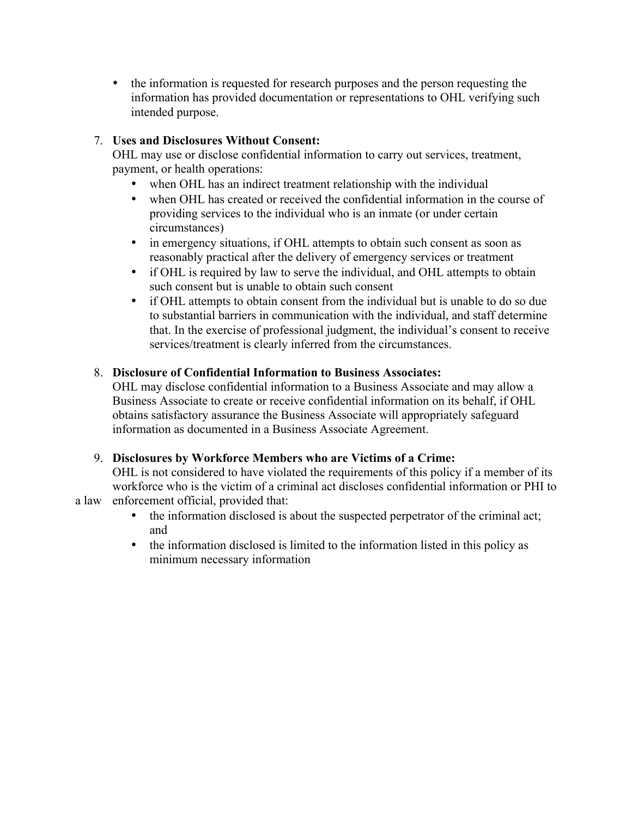• the information is requested for research purposes and the person requesting the information has provided documentation or representations to OHL verifying such intended purpose.

## 7. **Uses and Disclosures Without Consent:**

OHL may use or disclose confidential information to carry out services, treatment, payment, or health operations:

- when OHL has an indirect treatment relationship with the individual
- when OHL has created or received the confidential information in the course of providing services to the individual who is an inmate (or under certain circumstances)
- in emergency situations, if OHL attempts to obtain such consent as soon as reasonably practical after the delivery of emergency services or treatment
- if OHL is required by law to serve the individual, and OHL attempts to obtain such consent but is unable to obtain such consent
- if OHL attempts to obtain consent from the individual but is unable to do so due to substantial barriers in communication with the individual, and staff determine that. In the exercise of professional judgment, the individual's consent to receive services/treatment is clearly inferred from the circumstances.

## 8. **Disclosure of Confidential Information to Business Associates:**

OHL may disclose confidential information to a Business Associate and may allow a Business Associate to create or receive confidential information on its behalf, if OHL obtains satisfactory assurance the Business Associate will appropriately safeguard information as documented in a Business Associate Agreement.

## 9. **Disclosures by Workforce Members who are Victims of a Crime:**

OHL is not considered to have violated the requirements of this policy if a member of its workforce who is the victim of a criminal act discloses confidential information or PHI to

- a law enforcement official, provided that:
	- the information disclosed is about the suspected perpetrator of the criminal act; and
	- the information disclosed is limited to the information listed in this policy as minimum necessary information